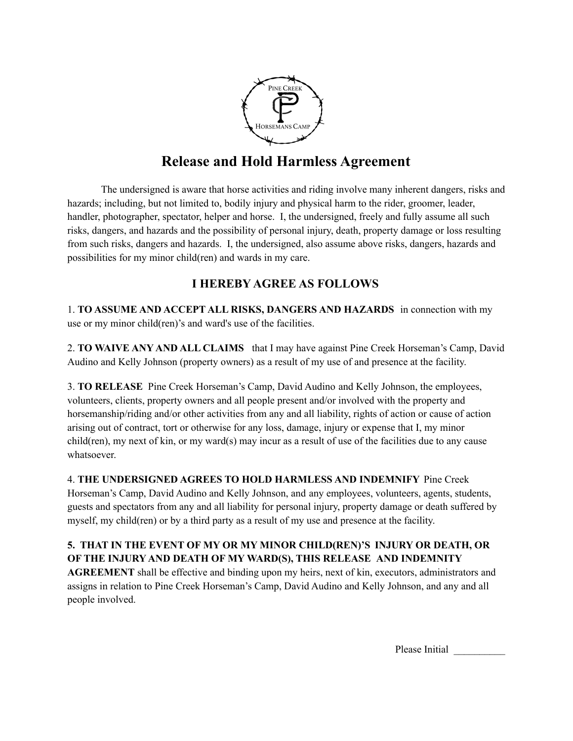

# **Release and Hold Harmless Agreement**

The undersigned is aware that horse activities and riding involve many inherent dangers, risks and hazards; including, but not limited to, bodily injury and physical harm to the rider, groomer, leader, handler, photographer, spectator, helper and horse. I, the undersigned, freely and fully assume all such risks, dangers, and hazards and the possibility of personal injury, death, property damage or loss resulting from such risks, dangers and hazards. I, the undersigned, also assume above risks, dangers, hazards and possibilities for my minor child(ren) and wards in my care.

### **I HEREBY AGREE AS FOLLOWS**

1. **TO ASSUME AND ACCEPT ALL RISKS, DANGERS AND HAZARDS** in connection with my use or my minor child(ren)'s and ward's use of the facilities.

2. **TO WAIVE ANY AND ALL CLAIMS** that I may have against Pine Creek Horseman's Camp, David Audino and Kelly Johnson (property owners) as a result of my use of and presence at the facility.

3. **TO RELEASE** Pine Creek Horseman's Camp, David Audino and Kelly Johnson, the employees, volunteers, clients, property owners and all people present and/or involved with the property and horsemanship/riding and/or other activities from any and all liability, rights of action or cause of action arising out of contract, tort or otherwise for any loss, damage, injury or expense that I, my minor child(ren), my next of kin, or my ward(s) may incur as a result of use of the facilities due to any cause whatsoever.

4. **THE UNDERSIGNED AGREES TO HOLD HARMLESS AND INDEMNIFY** Pine Creek Horseman's Camp, David Audino and Kelly Johnson, and any employees, volunteers, agents, students, guests and spectators from any and all liability for personal injury, property damage or death suffered by myself, my child(ren) or by a third party as a result of my use and presence at the facility.

#### **5. THAT IN THE EVENT OF MY OR MY MINOR CHILD(REN)'S INJURY OR DEATH, OR OF THE INJURY AND DEATH OF MY WARD(S), THIS RELEASE AND INDEMNITY**

**AGREEMENT** shall be effective and binding upon my heirs, next of kin, executors, administrators and assigns in relation to Pine Creek Horseman's Camp, David Audino and Kelly Johnson, and any and all people involved.

Please Initial